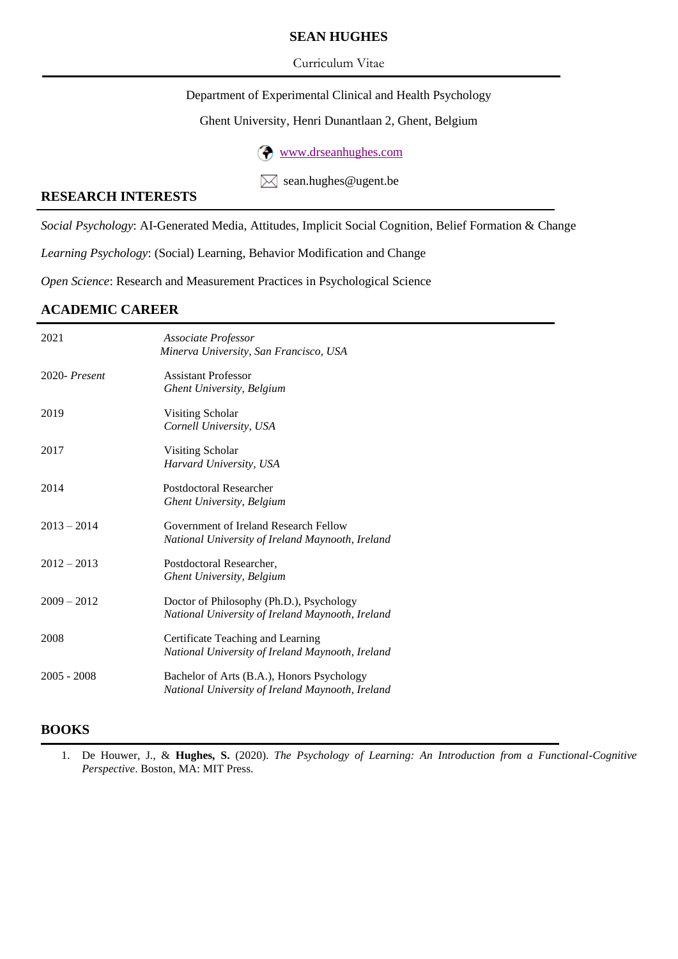## **SEAN HUGHES**

#### Curriculum Vitae

Department of Experimental Clinical and Health Psychology

#### Ghent University, Henri Dunantlaan 2, Ghent, Belgium

[www.drseanhughes.com](http://www.drseanhughes.com/)

 $\boxtimes$  sean.hughes@ugent.be

#### **RESEARCH INTERESTS**

*Social Psychology*: AI-Generated Media, Attitudes, Implicit Social Cognition, Belief Formation & Change

*Learning Psychology*: (Social) Learning, Behavior Modification and Change

*Open Science*: Research and Measurement Practices in Psychological Science

# **ACADEMIC CAREER**

| 2021          | Associate Professor<br>Minerva University, San Francisco, USA                                  |
|---------------|------------------------------------------------------------------------------------------------|
| 2020-Present  | <b>Assistant Professor</b><br><b>Ghent University, Belgium</b>                                 |
| 2019          | Visiting Scholar<br>Cornell University, USA                                                    |
| 2017          | Visiting Scholar<br>Harvard University, USA                                                    |
| 2014          | <b>Postdoctoral Researcher</b><br><b>Ghent University, Belgium</b>                             |
| $2013 - 2014$ | Government of Ireland Research Fellow<br>National University of Ireland Maynooth, Ireland      |
| $2012 - 2013$ | Postdoctoral Researcher,<br><b>Ghent University, Belgium</b>                                   |
| $2009 - 2012$ | Doctor of Philosophy (Ph.D.), Psychology<br>National University of Ireland Maynooth, Ireland   |
| 2008          | Certificate Teaching and Learning<br>National University of Ireland Maynooth, Ireland          |
| $2005 - 2008$ | Bachelor of Arts (B.A.), Honors Psychology<br>National University of Ireland Maynooth, Ireland |

## **BOOKS**

1. De Houwer, J., & **Hughes, S.** (2020). *The Psychology of Learning: An Introduction from a Functional-Cognitive Perspective*. Boston, MA: MIT Press.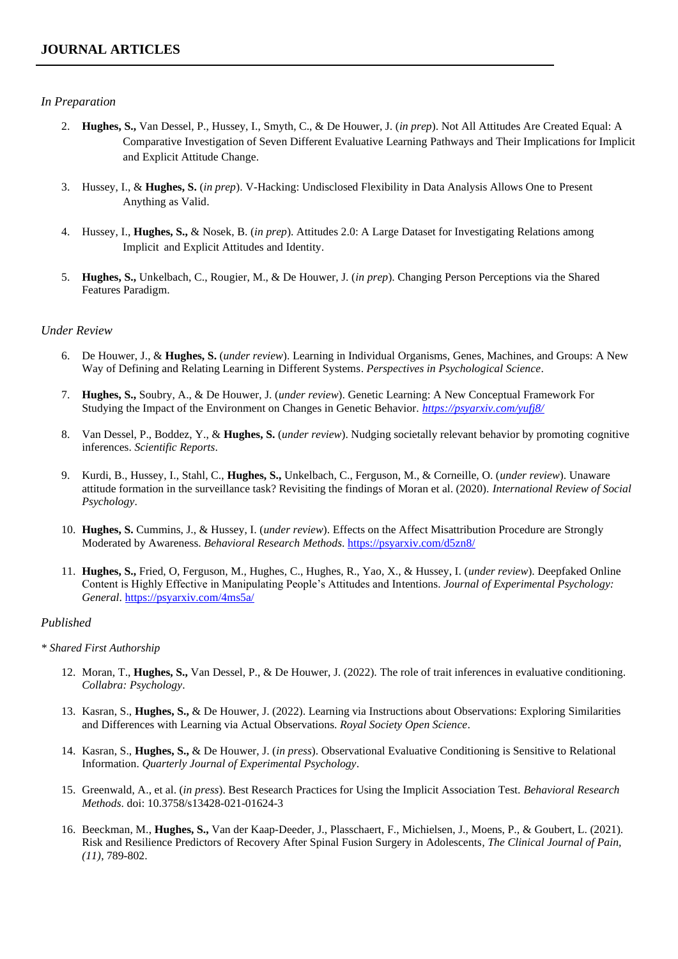#### *In Preparation*

- 2. **Hughes, S.,** Van Dessel, P., Hussey, I., Smyth, C., & De Houwer, J. (*in prep*). Not All Attitudes Are Created Equal: A Comparative Investigation of Seven Different Evaluative Learning Pathways and Their Implications for Implicit and Explicit Attitude Change.
- 3. Hussey, I., & **Hughes, S.** (*in prep*). V-Hacking: Undisclosed Flexibility in Data Analysis Allows One to Present Anything as Valid.
- 4. Hussey, I., **Hughes, S.,** & Nosek, B. (*in prep*). Attitudes 2.0: A Large Dataset for Investigating Relations among Implicit and Explicit Attitudes and Identity.
- 5. **Hughes, S.,** Unkelbach, C., Rougier, M., & De Houwer, J. (*in prep*). Changing Person Perceptions via the Shared Features Paradigm.

#### *Under Review*

- 6. De Houwer, J., & **Hughes, S.** (*under review*). Learning in Individual Organisms, Genes, Machines, and Groups: A New Way of Defining and Relating Learning in Different Systems. *Perspectives in Psychological Science*.
- 7. **Hughes, S.,** Soubry, A., & De Houwer, J. (*under review*). Genetic Learning: A New Conceptual Framework For Studying the Impact of the Environment on Changes in Genetic Behavior. *<https://psyarxiv.com/yufj8/>*
- 8. Van Dessel, P., Boddez, Y., & **Hughes, S.** (*under review*). Nudging societally relevant behavior by promoting cognitive inferences. *Scientific Reports*.
- 9. Kurdi, B., Hussey, I., Stahl, C., **Hughes, S.,** Unkelbach, C., Ferguson, M., & Corneille, O. (*under review*). Unaware attitude formation in the surveillance task? Revisiting the findings of Moran et al. (2020). *International Review of Social Psychology*.
- 10. **Hughes, S.** Cummins, J., & Hussey, I. (*under review*). Effects on the Affect Misattribution Procedure are Strongly Moderated by Awareness. *Behavioral Research Methods*. <https://psyarxiv.com/d5zn8/>
- 11. **Hughes, S.,** Fried, O, Ferguson, M., Hughes, C., Hughes, R., Yao, X., & Hussey, I. (*under review*). Deepfaked Online Content is Highly Effective in Manipulating People's Attitudes and Intentions. *Journal of Experimental Psychology: General*.<https://psyarxiv.com/4ms5a/>

#### *Published*

#### *\* Shared First Authorship*

- 12. Moran, T., **Hughes, S.,** Van Dessel, P., & De Houwer, J. (2022). The role of trait inferences in evaluative conditioning. *Collabra: Psychology*.
- 13. Kasran, S., **Hughes, S.,** & De Houwer, J. (2022). Learning via Instructions about Observations: Exploring Similarities and Differences with Learning via Actual Observations. *Royal Society Open Science*.
- 14. Kasran, S., **Hughes, S.,** & De Houwer, J. (*in press*). Observational Evaluative Conditioning is Sensitive to Relational Information. *Quarterly Journal of Experimental Psychology*.
- 15. Greenwald, A., et al. (*in press*). Best Research Practices for Using the Implicit Association Test. *Behavioral Research Methods*. doi: 10.3758/s13428-021-01624-3
- 16. Beeckman, M., **Hughes, S.,** Van der Kaap-Deeder, J., Plasschaert, F., Michielsen, J., Moens, P., & Goubert, L. (2021). Risk and Resilience Predictors of Recovery After Spinal Fusion Surgery in Adolescents*, The Clinical Journal of Pain, (11)*, 789-802.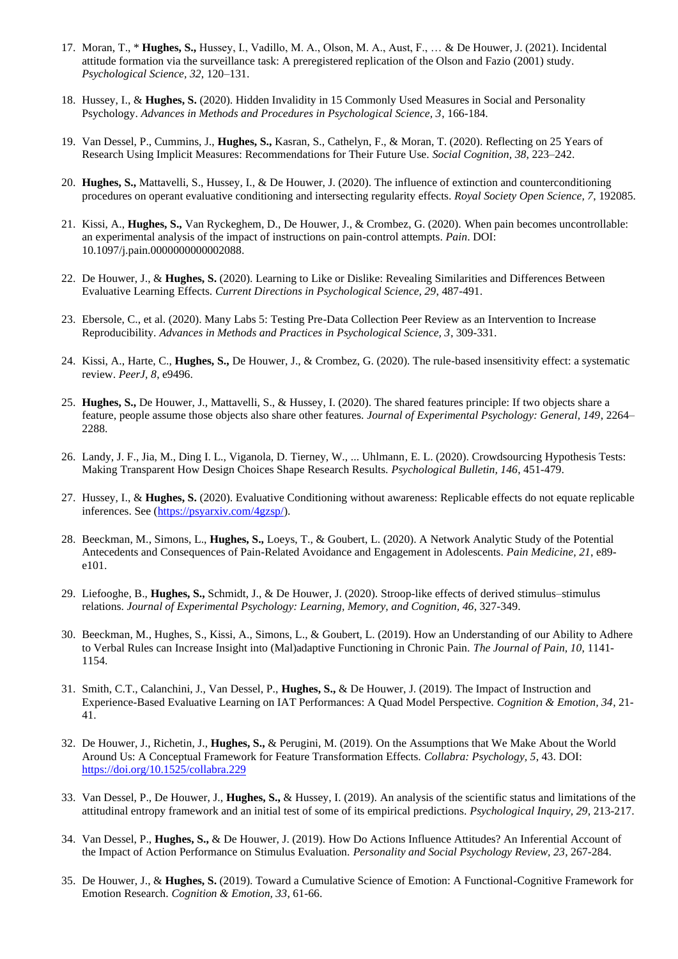- 17. Moran, T., \* **Hughes, S.,** Hussey, I., Vadillo, M. A., Olson, M. A., Aust, F., … & De Houwer, J. (2021). Incidental attitude formation via the surveillance task: A preregistered replication of the Olson and Fazio (2001) study. *Psychological Science, 32*, 120–131.
- 18. Hussey, I., & **Hughes, S.** (2020). Hidden Invalidity in 15 Commonly Used Measures in Social and Personality Psychology. *Advances in Methods and Procedures in Psychological Science, 3*, 166-184.
- 19. Van Dessel, P., Cummins, J., **Hughes, S.,** Kasran, S., Cathelyn, F., & Moran, T. (2020). Reflecting on 25 Years of Research Using Implicit Measures: Recommendations for Their Future Use. *Social Cognition, 38*, 223–242.
- 20. **Hughes, S.,** Mattavelli, S., Hussey, I., & De Houwer, J. (2020). The influence of extinction and counterconditioning procedures on operant evaluative conditioning and intersecting regularity effects. *Royal Society Open Science, 7*, 192085.
- 21. Kissi, A., **Hughes, S.,** Van Ryckeghem, D., De Houwer, J., & Crombez, G. (2020). When pain becomes uncontrollable: an experimental analysis of the impact of instructions on pain-control attempts. *Pain*. DOI: 10.1097/j.pain.0000000000002088.
- 22. De Houwer, J., & **Hughes, S.** (2020). Learning to Like or Dislike: Revealing Similarities and Differences Between Evaluative Learning Effects. *Current Directions in Psychological Science, 29*, 487-491.
- 23. Ebersole, C., et al. (2020). Many Labs 5: Testing Pre-Data Collection Peer Review as an Intervention to Increase Reproducibility. *Advances in Methods and Practices in Psychological Science, 3*, 309-331.
- 24. Kissi, A., Harte, C., **Hughes, S.,** De Houwer, J., & Crombez, G. (2020). The rule-based insensitivity effect: a systematic review. *PeerJ, 8*, e9496.
- 25. **Hughes, S.,** De Houwer, J., Mattavelli, S., & Hussey, I. (2020). The shared features principle: If two objects share a feature, people assume those objects also share other features. *Journal of Experimental Psychology: General, 149*, 2264– 2288.
- 26. Landy, J. F., Jia, M., Ding I. L., Viganola, D. Tierney, W., ... Uhlmann, E. L. (2020). Crowdsourcing Hypothesis Tests: Making Transparent How Design Choices Shape Research Results. *Psychological Bulletin, 146*, 451-479.
- 27. Hussey, I., & **Hughes, S.** (2020). Evaluative Conditioning without awareness: Replicable effects do not equate replicable inferences. See [\(https://psyarxiv.com/4gzsp/\)](https://psyarxiv.com/4gzsp/).
- 28. Beeckman, M., Simons, L., **Hughes, S.,** Loeys, T., & Goubert, L. (2020). A Network Analytic Study of the Potential Antecedents and Consequences of Pain-Related Avoidance and Engagement in Adolescents. *Pain Medicine, 21*, e89 e101.
- 29. Liefooghe, B., **Hughes, S.,** Schmidt, J., & De Houwer, J. (2020). Stroop-like effects of derived stimulus–stimulus relations. *Journal of Experimental Psychology: Learning, Memory, and Cognition, 46*, 327-349.
- 30. Beeckman, M., Hughes, S., Kissi, A., Simons, L., & Goubert, L. (2019). How an Understanding of our Ability to Adhere to Verbal Rules can Increase Insight into (Mal)adaptive Functioning in Chronic Pain. *The Journal of Pain, 10*, 1141- 1154.
- 31. Smith, C.T., Calanchini, J., Van Dessel, P., **Hughes, S.,** & De Houwer, J. (2019). The Impact of Instruction and Experience-Based Evaluative Learning on IAT Performances: A Quad Model Perspective. *Cognition & Emotion, 34*, 21- 41.
- 32. De Houwer, J., Richetin, J., **Hughes, S.,** & Perugini, M. (2019). On the Assumptions that We Make About the World Around Us: A Conceptual Framework for Feature Transformation Effects. *Collabra: Psychology, 5*, 43. DOI: <https://doi.org/10.1525/collabra.229>
- 33. Van Dessel, P., De Houwer, J., **Hughes, S.,** & Hussey, I. (2019). An analysis of the scientific status and limitations of the attitudinal entropy framework and an initial test of some of its empirical predictions. *Psychological Inquiry, 29*, 213-217.
- 34. Van Dessel, P., **Hughes, S.,** & De Houwer, J. (2019). How Do Actions Influence Attitudes? An Inferential Account of the Impact of Action Performance on Stimulus Evaluation. *Personality and Social Psychology Review, 23*, 267-284.
- 35. De Houwer, J., & **Hughes, S.** (2019). Toward a Cumulative Science of Emotion: A Functional-Cognitive Framework for Emotion Research. *Cognition & Emotion, 33*, 61-66.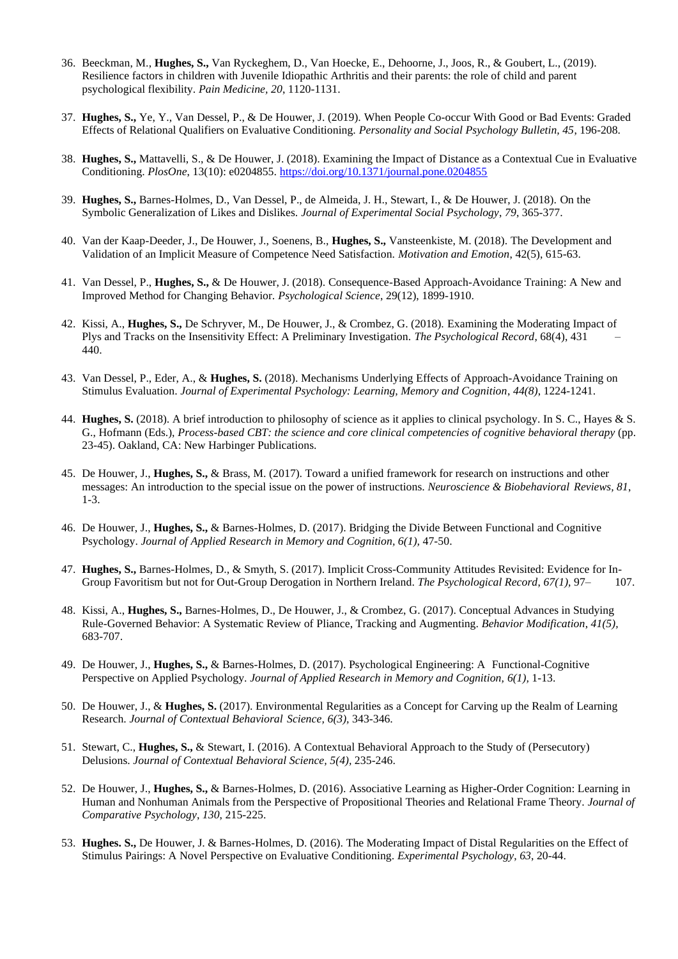- 36. Beeckman, M., **Hughes, S.,** Van Ryckeghem, D., Van Hoecke, E., Dehoorne, J., Joos, R., & Goubert, L., (2019). Resilience factors in children with Juvenile Idiopathic Arthritis and their parents: the role of child and parent psychological flexibility. *Pain Medicine, 20*, 1120-1131.
- 37. **Hughes, S.,** Ye, Y., Van Dessel, P., & De Houwer, J. (2019). When People Co-occur With Good or Bad Events: Graded Effects of Relational Qualifiers on Evaluative Conditioning. *Personality and Social Psychology Bulletin, 45*, 196-208.
- 38. **Hughes, S.,** Mattavelli, S., & De Houwer, J. (2018). Examining the Impact of Distance as a Contextual Cue in Evaluative Conditioning. *PlosOne*, 13(10): e0204855[. https://doi.org/10.1371/journal.pone.0204855](https://doi.org/10.1371/journal.pone.0204855)
- 39. **Hughes, S.,** Barnes-Holmes, D., Van Dessel, P., de Almeida, J. H., Stewart, I., & De Houwer, J. (2018). On the Symbolic Generalization of Likes and Dislikes. *Journal of Experimental Social Psychology*, *79*, 365-377.
- 40. Van der Kaap-Deeder, J., De Houwer, J., Soenens, B., **Hughes, S.,** Vansteenkiste, M. (2018). The Development and Validation of an Implicit Measure of Competence Need Satisfaction. *Motivation and Emotion*, 42(5), 615-63.
- 41. Van Dessel, P., **Hughes, S.,** & De Houwer, J. (2018). Consequence-Based Approach-Avoidance Training: A New and Improved Method for Changing Behavior. *Psychological Science*, 29(12), 1899-1910.
- 42. Kissi, A., **Hughes, S.,** De Schryver, M., De Houwer, J., & Crombez, G. (2018). Examining the Moderating Impact of Plys and Tracks on the Insensitivity Effect: A Preliminary Investigation. *The Psychological Record*, 68(4), 431 – 440.
- 43. Van Dessel, P., Eder, A., & **Hughes, S.** (2018). Mechanisms Underlying Effects of Approach-Avoidance Training on Stimulus Evaluation. *Journal of Experimental Psychology: Learning, Memory and Cognition*, *44(8)*, 1224-1241.
- 44. **Hughes, S.** (2018). A brief introduction to philosophy of science as it applies to clinical psychology. In S. C., Hayes & S. G., Hofmann (Eds.), *Process-based CBT: the science and core clinical competencies of cognitive behavioral therapy* (pp. 23-45). Oakland, CA: New Harbinger Publications.
- 45. De Houwer, J., **Hughes, S.,** & Brass, M. (2017). Toward a unified framework for research on instructions and other messages: An introduction to the special issue on the power of instructions. *Neuroscience & Biobehavioral Reviews, 81*, 1-3.
- 46. De Houwer, J., **Hughes, S.,** & Barnes-Holmes, D. (2017). Bridging the Divide Between Functional and Cognitive Psychology. *Journal of Applied Research in Memory and Cognition, 6(1),* 47-50.
- 47. **Hughes, S.,** Barnes-Holmes, D., & Smyth, S. (2017). Implicit Cross-Community Attitudes Revisited: Evidence for In-Group Favoritism but not for Out-Group Derogation in Northern Ireland. *The Psychological Record*, *67(1),* 97– 107.
- 48. Kissi, A., **Hughes, S.,** Barnes-Holmes, D., De Houwer, J., & Crombez, G. (2017). Conceptual Advances in Studying Rule-Governed Behavior: A Systematic Review of Pliance, Tracking and Augmenting. *Behavior Modification*, *41(5),*  683-707.
- 49. De Houwer, J., **Hughes, S.,** & Barnes-Holmes, D. (2017). Psychological Engineering: A Functional-Cognitive Perspective on Applied Psychology. *Journal of Applied Research in Memory and Cognition, 6(1),* 1-13.
- 50. De Houwer, J., & **Hughes, S.** (2017). Environmental Regularities as a Concept for Carving up the Realm of Learning Research. *Journal of Contextual Behavioral Science, 6(3),* 343-346.
- 51. Stewart, C., **Hughes, S.,** & Stewart, I. (2016). A Contextual Behavioral Approach to the Study of (Persecutory) Delusions. *Journal of Contextual Behavioral Science, 5(4),* 235-246.
- 52. De Houwer, J., **Hughes, S.,** & Barnes-Holmes, D. (2016). Associative Learning as Higher-Order Cognition: Learning in Human and Nonhuman Animals from the Perspective of Propositional Theories and Relational Frame Theory. *Journal of Comparative Psychology*, *130*, 215-225.
- 53. **Hughes. S.,** De Houwer, J. & Barnes-Holmes, D. (2016). The Moderating Impact of Distal Regularities on the Effect of Stimulus Pairings: A Novel Perspective on Evaluative Conditioning. *Experimental Psychology*, *63*, 20-44.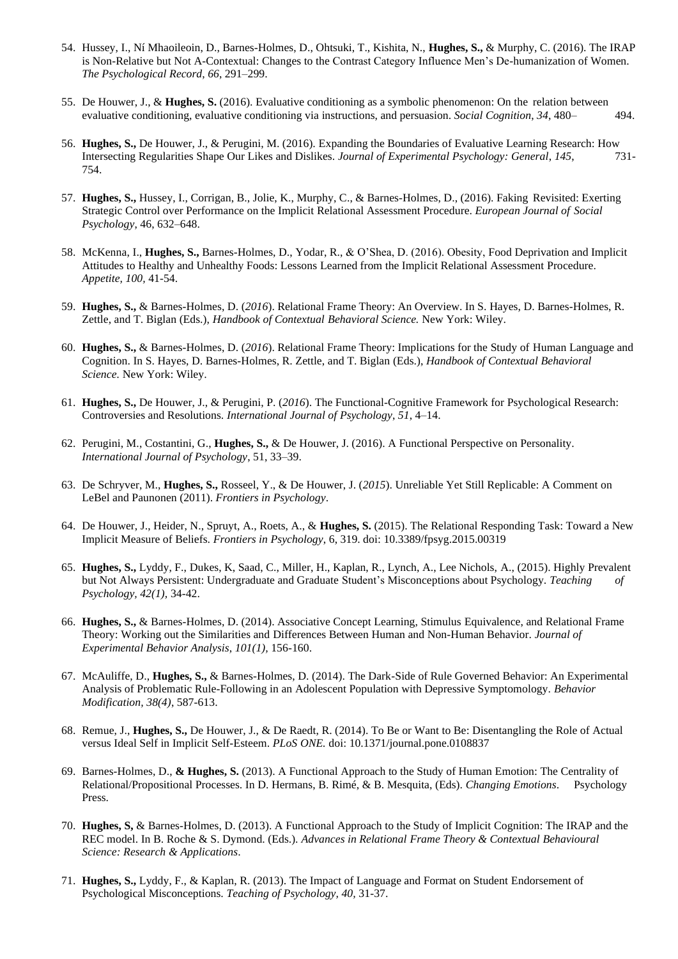- 54. Hussey, I., Ní Mhaoileoin, D., Barnes-Holmes, D., Ohtsuki, T., Kishita, N., **Hughes, S.,** & Murphy, C. (2016). The IRAP is Non-Relative but Not A-Contextual: Changes to the Contrast Category Influence Men's De-humanization of Women. *The Psychological Record*, *66*, 291–299.
- 55. De Houwer, J., & **Hughes, S.** (2016). Evaluative conditioning as a symbolic phenomenon: On the relation between evaluative conditioning, evaluative conditioning via instructions, and persuasion. *Social Cognition*, *34*, 480– 494.
- 56. **Hughes, S.,** De Houwer, J., & Perugini, M. (2016). Expanding the Boundaries of Evaluative Learning Research: How Intersecting Regularities Shape Our Likes and Dislikes. *Journal of Experimental Psychology: General*, *145*, 731- 754.
- 57. **Hughes, S.,** Hussey, I., Corrigan, B., Jolie, K., Murphy, C., & Barnes-Holmes, D., (2016). Faking Revisited: Exerting Strategic Control over Performance on the Implicit Relational Assessment Procedure. *European Journal of Social Psychology*, 46, 632–648.
- 58. McKenna, I., **Hughes, S.,** Barnes-Holmes, D., Yodar, R., & O'Shea, D. (2016). Obesity, Food Deprivation and Implicit Attitudes to Healthy and Unhealthy Foods: Lessons Learned from the Implicit Relational Assessment Procedure. *Appetite, 100,* 41-54.
- 59. **Hughes, S.,** & Barnes-Holmes, D. (*2016*). Relational Frame Theory: An Overview. In S. Hayes, D. Barnes-Holmes, R. Zettle, and T. Biglan (Eds.), *Handbook of Contextual Behavioral Science.* New York: Wiley.
- 60. **Hughes, S.,** & Barnes-Holmes, D. (*2016*). Relational Frame Theory: Implications for the Study of Human Language and Cognition. In S. Hayes, D. Barnes-Holmes, R. Zettle, and T. Biglan (Eds.), *Handbook of Contextual Behavioral Science.* New York: Wiley.
- 61. **Hughes, S.,** De Houwer, J., & Perugini, P. (*2016*). The Functional-Cognitive Framework for Psychological Research: Controversies and Resolutions. *International Journal of Psychology*, *51*, 4–14.
- 62. Perugini, M., Costantini, G., **Hughes, S.,** & De Houwer, J. (2016). A Functional Perspective on Personality. *International Journal of Psychology*, 51, 33–39.
- 63. De Schryver, M., **Hughes, S.,** Rosseel, Y., & De Houwer, J. (*2015*). Unreliable Yet Still Replicable: A Comment on LeBel and Paunonen (2011). *Frontiers in Psychology*.
- 64. De Houwer, J., Heider, N., Spruyt, A., Roets, A., & **Hughes, S.** (2015). The Relational Responding Task: Toward a New Implicit Measure of Beliefs. *Frontiers in Psychology*, 6, 319. doi: 10.3389/fpsyg.2015.00319
- 65. **Hughes, S.,** Lyddy, F., Dukes, K, Saad, C., Miller, H., Kaplan, R., Lynch, A., Lee Nichols, A., (2015). Highly Prevalent but Not Always Persistent: Undergraduate and Graduate Student's Misconceptions about Psychology. *Teaching of Psychology, 42(1),* 34-42.
- 66. **Hughes, S.,** & Barnes-Holmes, D. (2014). Associative Concept Learning, Stimulus Equivalence, and Relational Frame Theory: Working out the Similarities and Differences Between Human and Non-Human Behavior. *Journal of Experimental Behavior Analysis*, *101(1),* 156-160.
- 67. McAuliffe, D., **Hughes, S.,** & Barnes-Holmes, D. (2014). The Dark-Side of Rule Governed Behavior: An Experimental Analysis of Problematic Rule-Following in an Adolescent Population with Depressive Symptomology. *Behavior Modification, 38(4)*, 587-613.
- 68. Remue, J., **Hughes, S.,** De Houwer, J., & De Raedt, R. (2014). To Be or Want to Be: Disentangling the Role of Actual versus Ideal Self in Implicit Self-Esteem. *PLoS ONE.* doi: 10.1371/journal.pone.0108837
- 69. Barnes-Holmes, D., **& Hughes, S.** (2013). A Functional Approach to the Study of Human Emotion: The Centrality of Relational/Propositional Processes. In D. Hermans, B. Rimé, & B. Mesquita, (Eds). *Changing Emotions*. Psychology Press.
- 70. **Hughes, S,** & Barnes-Holmes, D. (2013). A Functional Approach to the Study of Implicit Cognition: The IRAP and the REC model. In B. Roche & S. Dymond. (Eds.). *Advances in Relational Frame Theory & Contextual Behavioural Science: Research & Applications*.
- 71. **Hughes, S.,** Lyddy, F., & Kaplan, R. (2013). The Impact of Language and Format on Student Endorsement of Psychological Misconceptions. *Teaching of Psychology, 40,* 31-37.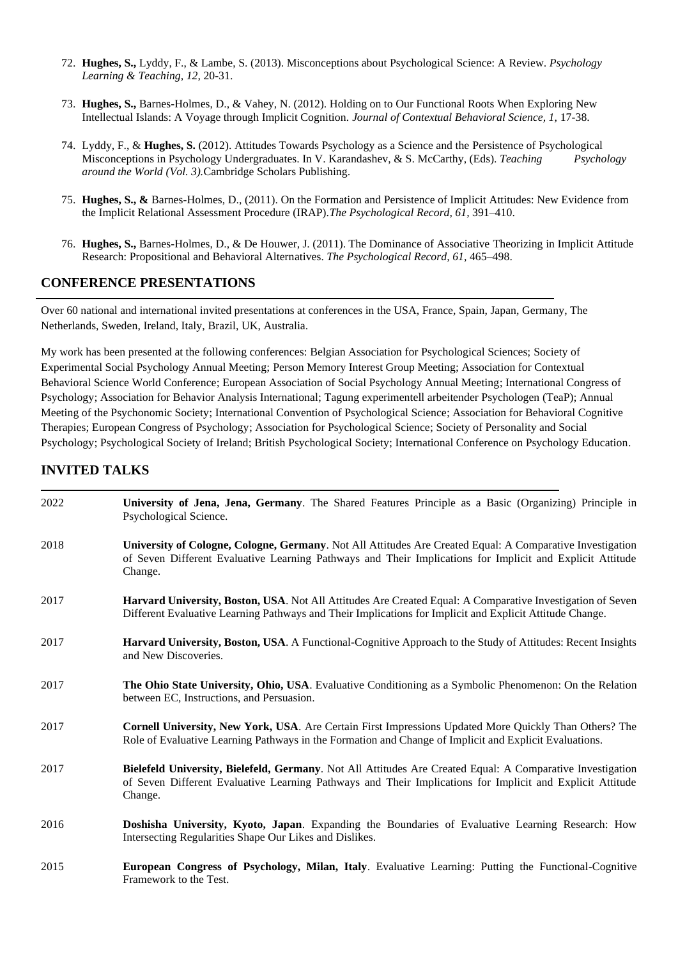- 72. **Hughes, S.,** Lyddy, F., & Lambe, S. (2013). Misconceptions about Psychological Science: A Review. *Psychology Learning & Teaching, 12,* 20-31.
- 73. **Hughes, S.,** Barnes-Holmes, D., & Vahey, N. (2012). Holding on to Our Functional Roots When Exploring New Intellectual Islands: A Voyage through Implicit Cognition. *Journal of Contextual Behavioral Science, 1,* 17-38.
- 74. Lyddy, F., & **Hughes, S.** (2012). Attitudes Towards Psychology as a Science and the Persistence of Psychological Misconceptions in Psychology Undergraduates. In V. Karandashev, & S. McCarthy, (Eds). *Teaching Psychology around the World (Vol. 3).*Cambridge Scholars Publishing.
- 75. **Hughes, S., &** Barnes-Holmes, D., (2011). On the Formation and Persistence of Implicit Attitudes: New Evidence from the Implicit Relational Assessment Procedure (IRAP).*The Psychological Record, 61,* 391–410.
- 76. **Hughes, S.,** [Barnes-Holmes, D., & De Houwer, J. \(2011\). The Dominance of Associative](http://psychology.nuim.ie/IRAP/documents/HughesDBHandDeHAssociativeDominance.pdf) Theorizing in Implicit Attitude [Research: Propositional and Behavioral Alternatives.](http://psychology.nuim.ie/IRAP/documents/HughesDBHandDeHAssociativeDominance.pdf) *The Psychological Record, 61,* 465–498.

#### **CONFERENCE PRESENTATIONS**

Over 60 national and international invited presentations at conferences in the USA, France, Spain, Japan, Germany, The Netherlands, Sweden, Ireland, Italy, Brazil, UK, Australia.

My work has been presented at the following conferences: Belgian Association for Psychological Sciences; Society of Experimental Social Psychology Annual Meeting; Person Memory Interest Group Meeting; Association for Contextual Behavioral Science World Conference; European Association of Social Psychology Annual Meeting; International Congress of Psychology; Association for Behavior Analysis International; Tagung experimentell arbeitender Psychologen (TeaP); Annual Meeting of the Psychonomic Society; International Convention of Psychological Science; Association for Behavioral Cognitive Therapies; European Congress of Psychology; Association for Psychological Science; Society of Personality and Social Psychology; Psychological Society of Ireland; British Psychological Society; International Conference on Psychology Education.

## **INVITED TALKS**

| 2022 | University of Jena, Jena, Germany. The Shared Features Principle as a Basic (Organizing) Principle in<br>Psychological Science.                                                                                                    |
|------|------------------------------------------------------------------------------------------------------------------------------------------------------------------------------------------------------------------------------------|
| 2018 | University of Cologne, Cologne, Germany. Not All Attitudes Are Created Equal: A Comparative Investigation<br>of Seven Different Evaluative Learning Pathways and Their Implications for Implicit and Explicit Attitude<br>Change.  |
| 2017 | Harvard University, Boston, USA. Not All Attitudes Are Created Equal: A Comparative Investigation of Seven<br>Different Evaluative Learning Pathways and Their Implications for Implicit and Explicit Attitude Change.             |
| 2017 | Harvard University, Boston, USA. A Functional-Cognitive Approach to the Study of Attitudes: Recent Insights<br>and New Discoveries.                                                                                                |
| 2017 | The Ohio State University, Ohio, USA. Evaluative Conditioning as a Symbolic Phenomenon: On the Relation<br>between EC, Instructions, and Persuasion.                                                                               |
| 2017 | Cornell University, New York, USA. Are Certain First Impressions Updated More Quickly Than Others? The<br>Role of Evaluative Learning Pathways in the Formation and Change of Implicit and Explicit Evaluations.                   |
| 2017 | Bielefeld University, Bielefeld, Germany. Not All Attitudes Are Created Equal: A Comparative Investigation<br>of Seven Different Evaluative Learning Pathways and Their Implications for Implicit and Explicit Attitude<br>Change. |
| 2016 | Doshisha University, Kyoto, Japan. Expanding the Boundaries of Evaluative Learning Research: How<br>Intersecting Regularities Shape Our Likes and Dislikes.                                                                        |
| 2015 | European Congress of Psychology, Milan, Italy. Evaluative Learning: Putting the Functional-Cognitive<br>Framework to the Test.                                                                                                     |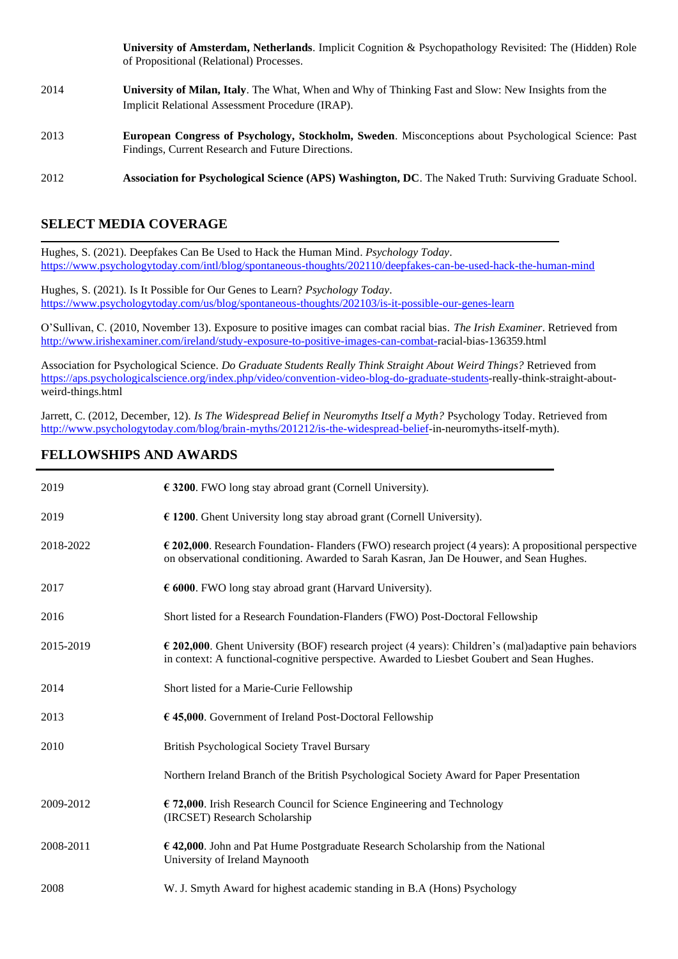**University of Amsterdam, Netherlands**. Implicit Cognition & Psychopathology Revisited: The (Hidden) Role of Propositional (Relational) Processes.

- 2014 **University of Milan, Italy**. The What, When and Why of Thinking Fast and Slow: New Insights from the Implicit Relational Assessment Procedure (IRAP).
- 2013 **European Congress of Psychology, Stockholm, Sweden**. Misconceptions about Psychological Science: Past Findings, Current Research and Future Directions.
- 2012 **Association for Psychological Science (APS) Washington, DC**. The Naked Truth: Surviving Graduate School.

#### **SELECT MEDIA COVERAGE**

Hughes, S. (2021). Deepfakes Can Be Used to Hack the Human Mind. *Psychology Today*. <https://www.psychologytoday.com/intl/blog/spontaneous-thoughts/202110/deepfakes-can-be-used-hack-the-human-mind>

Hughes, S. (2021). Is It Possible for Our Genes to Learn? *Psychology Today*. <https://www.psychologytoday.com/us/blog/spontaneous-thoughts/202103/is-it-possible-our-genes-learn>

O'Sullivan, C. (2010, November 13). Exposure to positive images can combat racial bias. *The Irish Examiner*. Retrieved from [http://www.irishexaminer.com/ireland/study-exposure-to-positive-images-can-combat-r](http://www.irishexaminer.com/ireland/study-exposure-to-positive-images-can-combat-)acial-bias-136359.html

Association for Psychological Science. *Do Graduate Students Really Think Straight About Weird Things?* Retrieved from [https://aps.psychologicalscience.org/index.php/video/convention-video-blog-do-graduate-students-](https://aps.psychologicalscience.org/index.php/video/convention-video-blog-do-graduate-students)really-think-straight-aboutweird-things.html

Jarrett, C. (2012, December, 12). *Is The Widespread Belief in Neuromyths Itself a Myth?* Psychology Today. Retrieved from [http://www.psychologytoday.com/blog/brain-myths/201212/is-the-widespread-belief-](http://www.psychologytoday.com/blog/brain-myths/201212/is-the-widespread-belief)in-neuromyths-itself-myth).

#### **FELLOWSHIPS AND AWARDS**

| 2019      | $\epsilon$ 3200. FWO long stay abroad grant (Cornell University).                                                                                                                                             |
|-----------|---------------------------------------------------------------------------------------------------------------------------------------------------------------------------------------------------------------|
| 2019      | $\epsilon$ 1200. Ghent University long stay abroad grant (Cornell University).                                                                                                                                |
| 2018-2022 | $\epsilon$ 202,000. Research Foundation-Flanders (FWO) research project (4 years): A propositional perspective<br>on observational conditioning. Awarded to Sarah Kasran, Jan De Houwer, and Sean Hughes.     |
| 2017      | $\epsilon$ 6000. FWO long stay abroad grant (Harvard University).                                                                                                                                             |
| 2016      | Short listed for a Research Foundation-Flanders (FWO) Post-Doctoral Fellowship                                                                                                                                |
| 2015-2019 | $\epsilon$ 202,000. Ghent University (BOF) research project (4 years): Children's (mal)adaptive pain behaviors<br>in context: A functional-cognitive perspective. Awarded to Liesbet Goubert and Sean Hughes. |
| 2014      | Short listed for a Marie-Curie Fellowship                                                                                                                                                                     |
| 2013      | $\epsilon$ 45,000. Government of Ireland Post-Doctoral Fellowship                                                                                                                                             |
| 2010      | <b>British Psychological Society Travel Bursary</b>                                                                                                                                                           |
|           | Northern Ireland Branch of the British Psychological Society Award for Paper Presentation                                                                                                                     |
| 2009-2012 | € 72,000. Irish Research Council for Science Engineering and Technology<br>(IRCSET) Research Scholarship                                                                                                      |
| 2008-2011 | $\epsilon$ 42,000. John and Pat Hume Postgraduate Research Scholarship from the National<br>University of Ireland Maynooth                                                                                    |
| 2008      | W. J. Smyth Award for highest academic standing in B.A (Hons) Psychology                                                                                                                                      |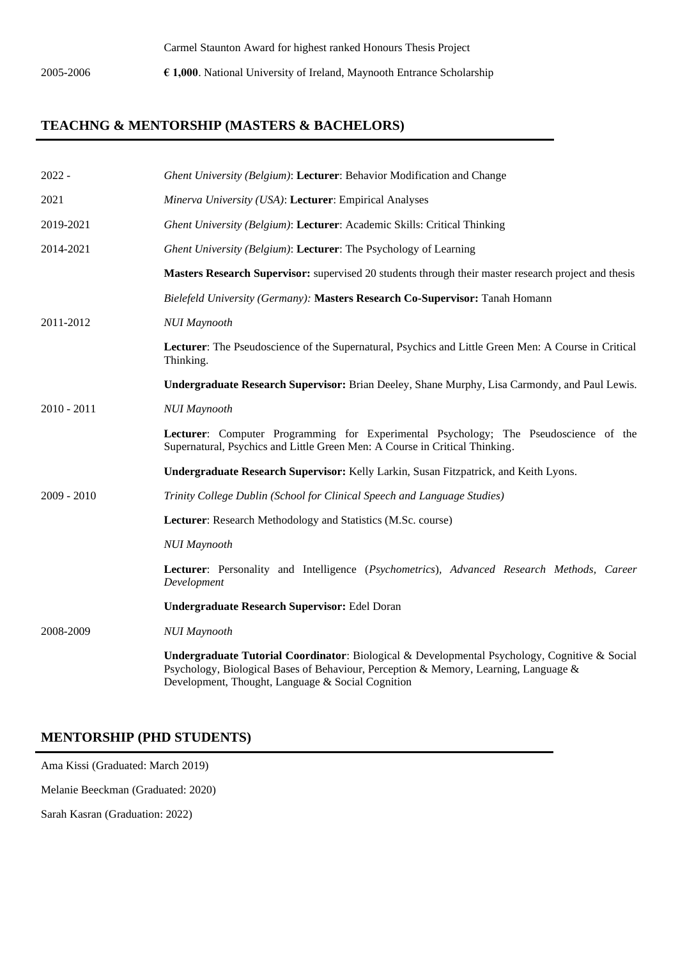2005-2006 **€ 1,000**. National University of Ireland, Maynooth Entrance Scholarship

## **TEACHNG & MENTORSHIP (MASTERS & BACHELORS)**

| $2022 -$      | Ghent University (Belgium): Lecturer: Behavior Modification and Change                                                                                                                                                                     |
|---------------|--------------------------------------------------------------------------------------------------------------------------------------------------------------------------------------------------------------------------------------------|
| 2021          | Minerva University (USA): Lecturer: Empirical Analyses                                                                                                                                                                                     |
| 2019-2021     | Ghent University (Belgium): Lecturer: Academic Skills: Critical Thinking                                                                                                                                                                   |
| 2014-2021     | Ghent University (Belgium): Lecturer: The Psychology of Learning                                                                                                                                                                           |
|               | Masters Research Supervisor: supervised 20 students through their master research project and thesis                                                                                                                                       |
|               | Bielefeld University (Germany): Masters Research Co-Supervisor: Tanah Homann                                                                                                                                                               |
| 2011-2012     | <b>NUI Maynooth</b>                                                                                                                                                                                                                        |
|               | Lecturer: The Pseudoscience of the Supernatural, Psychics and Little Green Men: A Course in Critical<br>Thinking.                                                                                                                          |
|               | Undergraduate Research Supervisor: Brian Deeley, Shane Murphy, Lisa Carmondy, and Paul Lewis.                                                                                                                                              |
| $2010 - 2011$ | <b>NUI Maynooth</b>                                                                                                                                                                                                                        |
|               | Lecturer: Computer Programming for Experimental Psychology; The Pseudoscience of the<br>Supernatural, Psychics and Little Green Men: A Course in Critical Thinking.                                                                        |
|               | Undergraduate Research Supervisor: Kelly Larkin, Susan Fitzpatrick, and Keith Lyons.                                                                                                                                                       |
| $2009 - 2010$ | Trinity College Dublin (School for Clinical Speech and Language Studies)                                                                                                                                                                   |
|               | Lecturer: Research Methodology and Statistics (M.Sc. course)                                                                                                                                                                               |
|               | <b>NUI Maynooth</b>                                                                                                                                                                                                                        |
|               | Lecturer: Personality and Intelligence (Psychometrics), Advanced Research Methods, Career<br>Development                                                                                                                                   |
|               | <b>Undergraduate Research Supervisor: Edel Doran</b>                                                                                                                                                                                       |
| 2008-2009     | <b>NUI Maynooth</b>                                                                                                                                                                                                                        |
|               | Undergraduate Tutorial Coordinator: Biological & Developmental Psychology, Cognitive & Social<br>Psychology, Biological Bases of Behaviour, Perception & Memory, Learning, Language &<br>Development, Thought, Language & Social Cognition |

## **MENTORSHIP (PHD STUDENTS)**

Ama Kissi (Graduated: March 2019)

Melanie Beeckman (Graduated: 2020)

Sarah Kasran (Graduation: 2022)